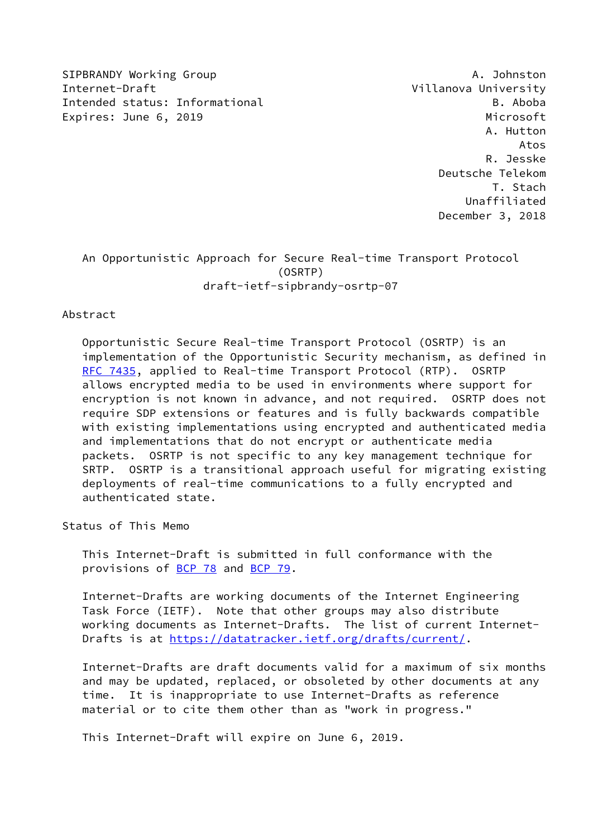SIPBRANDY Working Group And the Communication of the Communication of the Communication of the Communication of the Communication of the Communication of the Communication of the Communication of the Communication of the C Internet-Draft Villanova University Intended status: Informational B. Aboba Expires: June 6, 2019 **Microsoft** 

 A. Hutton Atos R. Jesske Deutsche Telekom T. Stach Unaffiliated December 3, 2018

# An Opportunistic Approach for Secure Real-time Transport Protocol (OSRTP) draft-ietf-sipbrandy-osrtp-07

### Abstract

 Opportunistic Secure Real-time Transport Protocol (OSRTP) is an implementation of the Opportunistic Security mechanism, as defined in [RFC 7435](https://datatracker.ietf.org/doc/pdf/rfc7435), applied to Real-time Transport Protocol (RTP). OSRTP allows encrypted media to be used in environments where support for encryption is not known in advance, and not required. OSRTP does not require SDP extensions or features and is fully backwards compatible with existing implementations using encrypted and authenticated media and implementations that do not encrypt or authenticate media packets. OSRTP is not specific to any key management technique for SRTP. OSRTP is a transitional approach useful for migrating existing deployments of real-time communications to a fully encrypted and authenticated state.

Status of This Memo

 This Internet-Draft is submitted in full conformance with the provisions of [BCP 78](https://datatracker.ietf.org/doc/pdf/bcp78) and [BCP 79](https://datatracker.ietf.org/doc/pdf/bcp79).

 Internet-Drafts are working documents of the Internet Engineering Task Force (IETF). Note that other groups may also distribute working documents as Internet-Drafts. The list of current Internet- Drafts is at<https://datatracker.ietf.org/drafts/current/>.

 Internet-Drafts are draft documents valid for a maximum of six months and may be updated, replaced, or obsoleted by other documents at any time. It is inappropriate to use Internet-Drafts as reference material or to cite them other than as "work in progress."

This Internet-Draft will expire on June 6, 2019.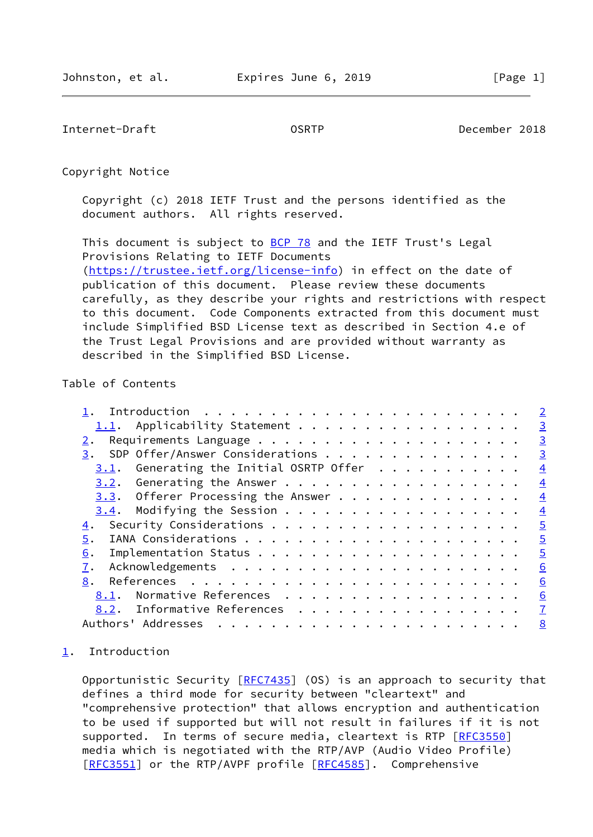<span id="page-1-1"></span>Internet-Draft OSRTP December 2018

Copyright Notice

 Copyright (c) 2018 IETF Trust and the persons identified as the document authors. All rights reserved.

This document is subject to **[BCP 78](https://datatracker.ietf.org/doc/pdf/bcp78)** and the IETF Trust's Legal Provisions Relating to IETF Documents [\(https://trustee.ietf.org/license-info](https://trustee.ietf.org/license-info)) in effect on the date of publication of this document. Please review these documents carefully, as they describe your rights and restrictions with respect to this document. Code Components extracted from this document must include Simplified BSD License text as described in Section 4.e of the Trust Legal Provisions and are provided without warranty as described in the Simplified BSD License.

# Table of Contents

|                                                                                                                                                                                                                                                                                                                                                                                                                                                                                                               | $\overline{2}$ |
|---------------------------------------------------------------------------------------------------------------------------------------------------------------------------------------------------------------------------------------------------------------------------------------------------------------------------------------------------------------------------------------------------------------------------------------------------------------------------------------------------------------|----------------|
| 1.1. Applicability Statement                                                                                                                                                                                                                                                                                                                                                                                                                                                                                  | $\overline{3}$ |
|                                                                                                                                                                                                                                                                                                                                                                                                                                                                                                               | $\overline{3}$ |
| 3. SDP Offer/Answer Considerations                                                                                                                                                                                                                                                                                                                                                                                                                                                                            | $\overline{3}$ |
| Generating the Initial OSRTP Offer<br>3.1.                                                                                                                                                                                                                                                                                                                                                                                                                                                                    | $\overline{4}$ |
|                                                                                                                                                                                                                                                                                                                                                                                                                                                                                                               | $\overline{4}$ |
| 3.3. Offerer Processing the Answer                                                                                                                                                                                                                                                                                                                                                                                                                                                                            | $\overline{4}$ |
|                                                                                                                                                                                                                                                                                                                                                                                                                                                                                                               | $\overline{4}$ |
|                                                                                                                                                                                                                                                                                                                                                                                                                                                                                                               | $\overline{5}$ |
| 5.                                                                                                                                                                                                                                                                                                                                                                                                                                                                                                            | $\overline{5}$ |
| 6.                                                                                                                                                                                                                                                                                                                                                                                                                                                                                                            | $\overline{5}$ |
| 7.                                                                                                                                                                                                                                                                                                                                                                                                                                                                                                            | 6              |
| 8.                                                                                                                                                                                                                                                                                                                                                                                                                                                                                                            | 6              |
| Normative References<br>8.1.                                                                                                                                                                                                                                                                                                                                                                                                                                                                                  | 6              |
| 8.2. Informative References                                                                                                                                                                                                                                                                                                                                                                                                                                                                                   | $\overline{1}$ |
| Authors' Addresses<br>$\mathbf{r}^{\mathsf{T}} \cdot \mathbf{r}^{\mathsf{T}} \cdot \mathbf{r}^{\mathsf{T}} \cdot \mathbf{r}^{\mathsf{T}} \cdot \mathbf{r}^{\mathsf{T}} \cdot \mathbf{r}^{\mathsf{T}} \cdot \mathbf{r}^{\mathsf{T}} \cdot \mathbf{r}^{\mathsf{T}} \cdot \mathbf{r}^{\mathsf{T}} \cdot \mathbf{r}^{\mathsf{T}} \cdot \mathbf{r}^{\mathsf{T}} \cdot \mathbf{r}^{\mathsf{T}} \cdot \mathbf{r}^{\mathsf{T}} \cdot \mathbf{r}^{\mathsf{T}} \cdot \mathbf{r}^{\mathsf{T}} \cdot \mathbf{r}^{\mathsf$ | 8              |

## <span id="page-1-0"></span>[1](#page-1-0). Introduction

Opportunistic Security [\[RFC7435](https://datatracker.ietf.org/doc/pdf/rfc7435)] (OS) is an approach to security that defines a third mode for security between "cleartext" and "comprehensive protection" that allows encryption and authentication to be used if supported but will not result in failures if it is not supported. In terms of secure media, cleartext is RTP [\[RFC3550](https://datatracker.ietf.org/doc/pdf/rfc3550)] media which is negotiated with the RTP/AVP (Audio Video Profile) [\[RFC3551](https://datatracker.ietf.org/doc/pdf/rfc3551)] or the RTP/AVPF profile [[RFC4585](https://datatracker.ietf.org/doc/pdf/rfc4585)]. Comprehensive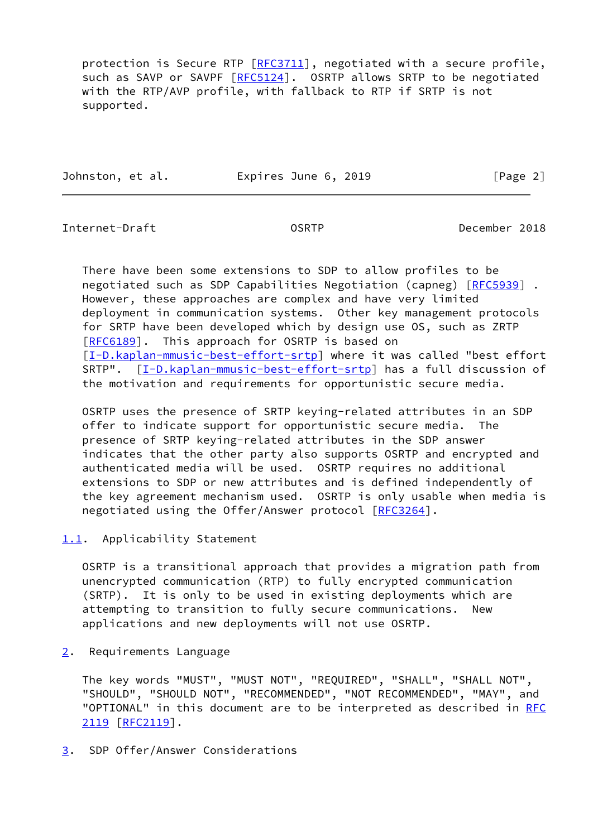protection is Secure RTP [\[RFC3711](https://datatracker.ietf.org/doc/pdf/rfc3711)], negotiated with a secure profile, such as SAVP or SAVPF [[RFC5124](https://datatracker.ietf.org/doc/pdf/rfc5124)]. OSRTP allows SRTP to be negotiated with the RTP/AVP profile, with fallback to RTP if SRTP is not supported.

Johnston, et al. **Expires June 6, 2019** [Page 2]

<span id="page-2-1"></span>Internet-Draft OSRTP December 2018

 There have been some extensions to SDP to allow profiles to be negotiated such as SDP Capabilities Negotiation (capneg) [\[RFC5939](https://datatracker.ietf.org/doc/pdf/rfc5939)] . However, these approaches are complex and have very limited deployment in communication systems. Other key management protocols for SRTP have been developed which by design use OS, such as ZRTP [\[RFC6189](https://datatracker.ietf.org/doc/pdf/rfc6189)]. This approach for OSRTP is based on [\[I-D.kaplan-mmusic-best-effort-srtp\]](#page-7-2) where it was called "best effort SRTP". [\[I-D.kaplan-mmusic-best-effort-srtp\]](#page-7-2) has a full discussion of the motivation and requirements for opportunistic secure media.

 OSRTP uses the presence of SRTP keying-related attributes in an SDP offer to indicate support for opportunistic secure media. The presence of SRTP keying-related attributes in the SDP answer indicates that the other party also supports OSRTP and encrypted and authenticated media will be used. OSRTP requires no additional extensions to SDP or new attributes and is defined independently of the key agreement mechanism used. OSRTP is only usable when media is negotiated using the Offer/Answer protocol [[RFC3264\]](https://datatracker.ietf.org/doc/pdf/rfc3264).

<span id="page-2-0"></span>[1.1](#page-2-0). Applicability Statement

 OSRTP is a transitional approach that provides a migration path from unencrypted communication (RTP) to fully encrypted communication (SRTP). It is only to be used in existing deployments which are attempting to transition to fully secure communications. New applications and new deployments will not use OSRTP.

<span id="page-2-2"></span>[2](#page-2-2). Requirements Language

 The key words "MUST", "MUST NOT", "REQUIRED", "SHALL", "SHALL NOT", "SHOULD", "SHOULD NOT", "RECOMMENDED", "NOT RECOMMENDED", "MAY", and "OPTIONAL" in this document are to be interpreted as described in [RFC](https://datatracker.ietf.org/doc/pdf/rfc2119) [2119](https://datatracker.ietf.org/doc/pdf/rfc2119) [\[RFC2119](https://datatracker.ietf.org/doc/pdf/rfc2119)].

<span id="page-2-3"></span>[3](#page-2-3). SDP Offer/Answer Considerations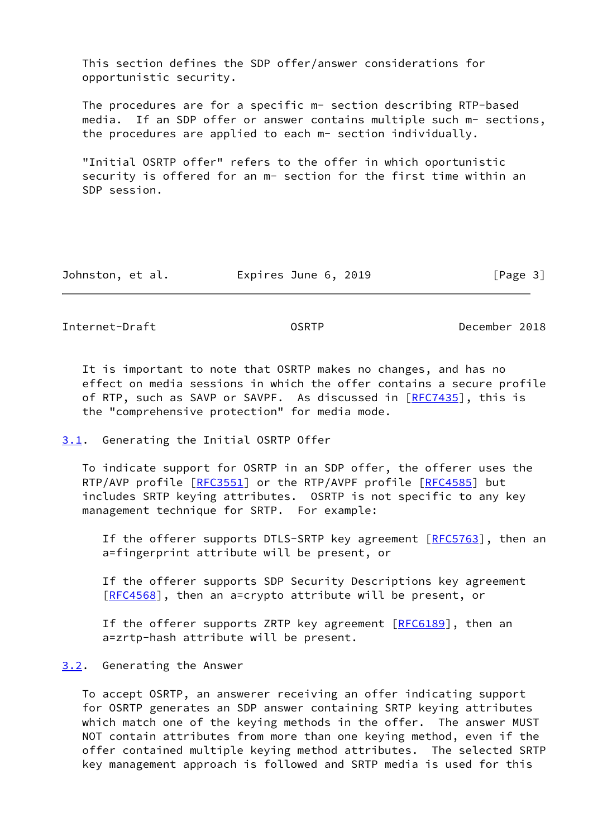This section defines the SDP offer/answer considerations for opportunistic security.

 The procedures are for a specific m- section describing RTP-based media. If an SDP offer or answer contains multiple such m- sections, the procedures are applied to each m- section individually.

 "Initial OSRTP offer" refers to the offer in which oportunistic security is offered for an m- section for the first time within an SDP session.

| Johnston, et al. | Expires June 6, 2019 | [Page 3] |
|------------------|----------------------|----------|
|------------------|----------------------|----------|

<span id="page-3-1"></span>Internet-Draft OSRTP December 2018

 It is important to note that OSRTP makes no changes, and has no effect on media sessions in which the offer contains a secure profile of RTP, such as SAVP or SAVPF. As discussed in [\[RFC7435](https://datatracker.ietf.org/doc/pdf/rfc7435)], this is the "comprehensive protection" for media mode.

#### <span id="page-3-0"></span>[3.1](#page-3-0). Generating the Initial OSRTP Offer

 To indicate support for OSRTP in an SDP offer, the offerer uses the RTP/AVP profile [\[RFC3551](https://datatracker.ietf.org/doc/pdf/rfc3551)] or the RTP/AVPF profile [[RFC4585](https://datatracker.ietf.org/doc/pdf/rfc4585)] but includes SRTP keying attributes. OSRTP is not specific to any key management technique for SRTP. For example:

If the offerer supports DTLS-SRTP key agreement  $[RECS763]$ , then an a=fingerprint attribute will be present, or

 If the offerer supports SDP Security Descriptions key agreement [[RFC4568\]](https://datatracker.ietf.org/doc/pdf/rfc4568), then an a=crypto attribute will be present, or

If the offerer supports ZRTP key agreement [[RFC6189](https://datatracker.ietf.org/doc/pdf/rfc6189)], then an a=zrtp-hash attribute will be present.

#### <span id="page-3-2"></span>[3.2](#page-3-2). Generating the Answer

 To accept OSRTP, an answerer receiving an offer indicating support for OSRTP generates an SDP answer containing SRTP keying attributes which match one of the keying methods in the offer. The answer MUST NOT contain attributes from more than one keying method, even if the offer contained multiple keying method attributes. The selected SRTP key management approach is followed and SRTP media is used for this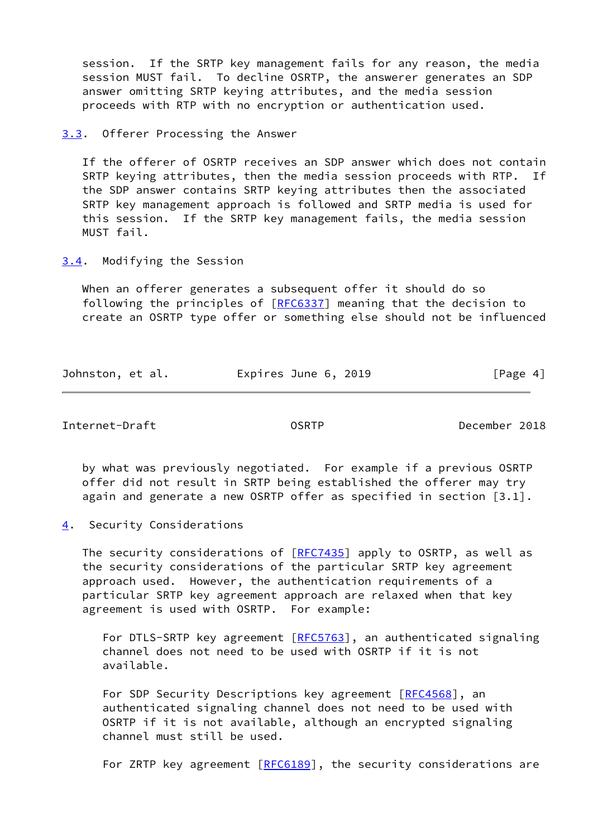session. If the SRTP key management fails for any reason, the media session MUST fail. To decline OSRTP, the answerer generates an SDP answer omitting SRTP keying attributes, and the media session proceeds with RTP with no encryption or authentication used.

<span id="page-4-0"></span>[3.3](#page-4-0). Offerer Processing the Answer

 If the offerer of OSRTP receives an SDP answer which does not contain SRTP keying attributes, then the media session proceeds with RTP. the SDP answer contains SRTP keying attributes then the associated SRTP key management approach is followed and SRTP media is used for this session. If the SRTP key management fails, the media session MUST fail.

<span id="page-4-1"></span>[3.4](#page-4-1). Modifying the Session

 When an offerer generates a subsequent offer it should do so following the principles of [\[RFC6337](https://datatracker.ietf.org/doc/pdf/rfc6337)] meaning that the decision to create an OSRTP type offer or something else should not be influenced

| Johnston, et al. | Expires June 6, 2019 | [Page 4] |
|------------------|----------------------|----------|
|                  |                      |          |

<span id="page-4-3"></span>Internet-Draft OSRTP December 2018

 by what was previously negotiated. For example if a previous OSRTP offer did not result in SRTP being established the offerer may try again and generate a new OSRTP offer as specified in section [3.1].

<span id="page-4-2"></span>[4](#page-4-2). Security Considerations

The security considerations of [\[RFC7435](https://datatracker.ietf.org/doc/pdf/rfc7435)] apply to OSRTP, as well as the security considerations of the particular SRTP key agreement approach used. However, the authentication requirements of a particular SRTP key agreement approach are relaxed when that key agreement is used with OSRTP. For example:

For DTLS-SRTP key agreement [\[RFC5763](https://datatracker.ietf.org/doc/pdf/rfc5763)], an authenticated signaling channel does not need to be used with OSRTP if it is not available.

 For SDP Security Descriptions key agreement [\[RFC4568](https://datatracker.ietf.org/doc/pdf/rfc4568)], an authenticated signaling channel does not need to be used with OSRTP if it is not available, although an encrypted signaling channel must still be used.

For ZRTP key agreement [[RFC6189](https://datatracker.ietf.org/doc/pdf/rfc6189)], the security considerations are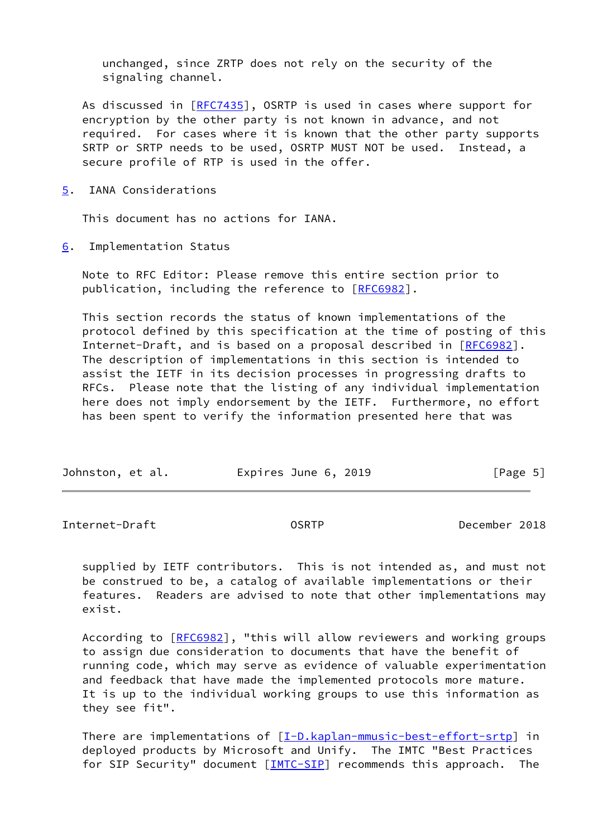unchanged, since ZRTP does not rely on the security of the signaling channel.

As discussed in [\[RFC7435](https://datatracker.ietf.org/doc/pdf/rfc7435)], OSRTP is used in cases where support for encryption by the other party is not known in advance, and not required. For cases where it is known that the other party supports SRTP or SRTP needs to be used, OSRTP MUST NOT be used. Instead, a secure profile of RTP is used in the offer.

<span id="page-5-0"></span>[5](#page-5-0). IANA Considerations

This document has no actions for IANA.

<span id="page-5-1"></span>[6](#page-5-1). Implementation Status

 Note to RFC Editor: Please remove this entire section prior to publication, including the reference to [\[RFC6982](https://datatracker.ietf.org/doc/pdf/rfc6982)].

 This section records the status of known implementations of the protocol defined by this specification at the time of posting of this Internet-Draft, and is based on a proposal described in [\[RFC6982](https://datatracker.ietf.org/doc/pdf/rfc6982)]. The description of implementations in this section is intended to assist the IETF in its decision processes in progressing drafts to RFCs. Please note that the listing of any individual implementation here does not imply endorsement by the IETF. Furthermore, no effort has been spent to verify the information presented here that was

| Johnston, et al.<br>Expires June 6, 2019 | [Page 5] |
|------------------------------------------|----------|
|------------------------------------------|----------|

<span id="page-5-2"></span>Internet-Draft OSRTP December 2018

 supplied by IETF contributors. This is not intended as, and must not be construed to be, a catalog of available implementations or their features. Readers are advised to note that other implementations may exist.

 According to [\[RFC6982](https://datatracker.ietf.org/doc/pdf/rfc6982)], "this will allow reviewers and working groups to assign due consideration to documents that have the benefit of running code, which may serve as evidence of valuable experimentation and feedback that have made the implemented protocols more mature. It is up to the individual working groups to use this information as they see fit".

There are implementations of [\[I-D.kaplan-mmusic-best-effort-srtp\]](#page-7-2) in deployed products by Microsoft and Unify. The IMTC "Best Practices for SIP Security" document [[IMTC-SIP\]](#page-7-3) recommends this approach. The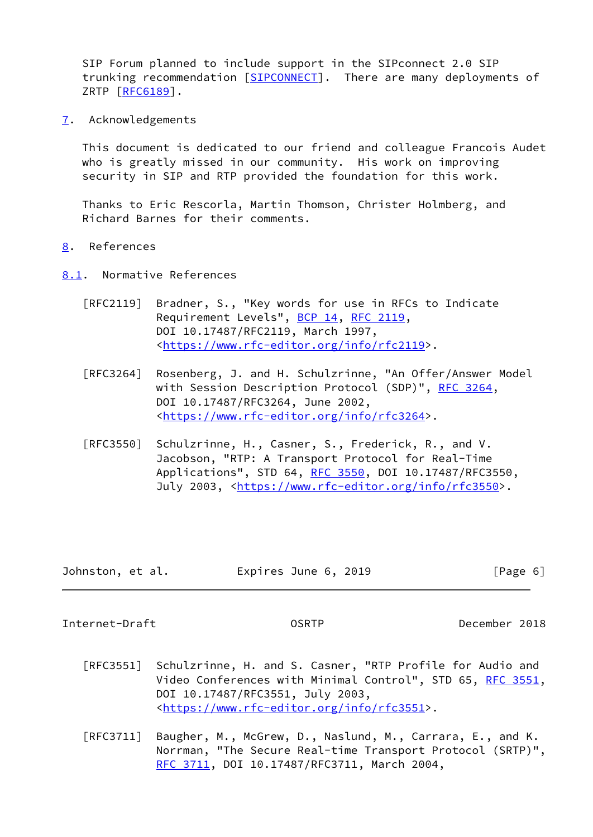SIP Forum planned to include support in the SIPconnect 2.0 SIP trunking recommendation [\[SIPCONNECT\]](#page-8-0). There are many deployments of ZRTP [\[RFC6189](https://datatracker.ietf.org/doc/pdf/rfc6189)].

<span id="page-6-0"></span>[7](#page-6-0). Acknowledgements

 This document is dedicated to our friend and colleague Francois Audet who is greatly missed in our community. His work on improving security in SIP and RTP provided the foundation for this work.

 Thanks to Eric Rescorla, Martin Thomson, Christer Holmberg, and Richard Barnes for their comments.

- <span id="page-6-1"></span>[8](#page-6-1). References
- <span id="page-6-2"></span>[8.1](#page-6-2). Normative References
	- [RFC2119] Bradner, S., "Key words for use in RFCs to Indicate Requirement Levels", [BCP 14](https://datatracker.ietf.org/doc/pdf/bcp14), [RFC 2119](https://datatracker.ietf.org/doc/pdf/rfc2119), DOI 10.17487/RFC2119, March 1997, <[https://www.rfc-editor.org/info/rfc2119>](https://www.rfc-editor.org/info/rfc2119).
	- [RFC3264] Rosenberg, J. and H. Schulzrinne, "An Offer/Answer Model with Session Description Protocol (SDP)", [RFC 3264](https://datatracker.ietf.org/doc/pdf/rfc3264), DOI 10.17487/RFC3264, June 2002, <[https://www.rfc-editor.org/info/rfc3264>](https://www.rfc-editor.org/info/rfc3264).
	- [RFC3550] Schulzrinne, H., Casner, S., Frederick, R., and V. Jacobson, "RTP: A Transport Protocol for Real-Time Applications", STD 64, [RFC 3550](https://datatracker.ietf.org/doc/pdf/rfc3550), DOI 10.17487/RFC3550, July 2003, <<https://www.rfc-editor.org/info/rfc3550>>.

| Johnston, et al. | Expires June 6, 2019 | [Page 6] |
|------------------|----------------------|----------|
|------------------|----------------------|----------|

<span id="page-6-3"></span>Internet-Draft OSRTP December 2018

- [RFC3551] Schulzrinne, H. and S. Casner, "RTP Profile for Audio and Video Conferences with Minimal Control", STD 65, [RFC 3551,](https://datatracker.ietf.org/doc/pdf/rfc3551) DOI 10.17487/RFC3551, July 2003, <[https://www.rfc-editor.org/info/rfc3551>](https://www.rfc-editor.org/info/rfc3551).
- [RFC3711] Baugher, M., McGrew, D., Naslund, M., Carrara, E., and K. Norrman, "The Secure Real-time Transport Protocol (SRTP)", [RFC 3711,](https://datatracker.ietf.org/doc/pdf/rfc3711) DOI 10.17487/RFC3711, March 2004,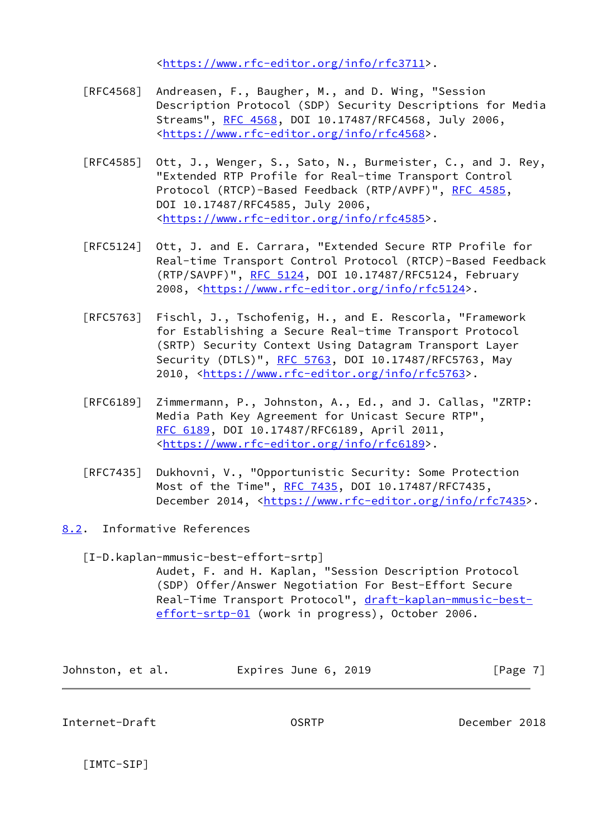<[https://www.rfc-editor.org/info/rfc3711>](https://www.rfc-editor.org/info/rfc3711).

- [RFC4568] Andreasen, F., Baugher, M., and D. Wing, "Session Description Protocol (SDP) Security Descriptions for Media Streams", [RFC 4568](https://datatracker.ietf.org/doc/pdf/rfc4568), DOI 10.17487/RFC4568, July 2006, <[https://www.rfc-editor.org/info/rfc4568>](https://www.rfc-editor.org/info/rfc4568).
- [RFC4585] Ott, J., Wenger, S., Sato, N., Burmeister, C., and J. Rey, "Extended RTP Profile for Real-time Transport Control Protocol (RTCP)-Based Feedback (RTP/AVPF)", [RFC 4585,](https://datatracker.ietf.org/doc/pdf/rfc4585) DOI 10.17487/RFC4585, July 2006, <[https://www.rfc-editor.org/info/rfc4585>](https://www.rfc-editor.org/info/rfc4585).
- [RFC5124] Ott, J. and E. Carrara, "Extended Secure RTP Profile for Real-time Transport Control Protocol (RTCP)-Based Feedback (RTP/SAVPF)", [RFC 5124](https://datatracker.ietf.org/doc/pdf/rfc5124), DOI 10.17487/RFC5124, February 2008, [<https://www.rfc-editor.org/info/rfc5124](https://www.rfc-editor.org/info/rfc5124)>.
- [RFC5763] Fischl, J., Tschofenig, H., and E. Rescorla, "Framework for Establishing a Secure Real-time Transport Protocol (SRTP) Security Context Using Datagram Transport Layer Security (DTLS)", [RFC 5763](https://datatracker.ietf.org/doc/pdf/rfc5763), DOI 10.17487/RFC5763, May 2010, [<https://www.rfc-editor.org/info/rfc5763](https://www.rfc-editor.org/info/rfc5763)>.
- [RFC6189] Zimmermann, P., Johnston, A., Ed., and J. Callas, "ZRTP: Media Path Key Agreement for Unicast Secure RTP", [RFC 6189,](https://datatracker.ietf.org/doc/pdf/rfc6189) DOI 10.17487/RFC6189, April 2011, <[https://www.rfc-editor.org/info/rfc6189>](https://www.rfc-editor.org/info/rfc6189).
- [RFC7435] Dukhovni, V., "Opportunistic Security: Some Protection Most of the Time", [RFC 7435](https://datatracker.ietf.org/doc/pdf/rfc7435), DOI 10.17487/RFC7435, December 2014, <<https://www.rfc-editor.org/info/rfc7435>>.
- <span id="page-7-2"></span><span id="page-7-0"></span>[8.2](#page-7-0). Informative References
	- [I-D.kaplan-mmusic-best-effort-srtp]

 Audet, F. and H. Kaplan, "Session Description Protocol (SDP) Offer/Answer Negotiation For Best-Effort Secure Real-Time Transport Protocol", [draft-kaplan-mmusic-best](https://datatracker.ietf.org/doc/pdf/draft-kaplan-mmusic-best-effort-srtp-01) [effort-srtp-01](https://datatracker.ietf.org/doc/pdf/draft-kaplan-mmusic-best-effort-srtp-01) (work in progress), October 2006.

| Johnston, et al. | Expires June 6, 2019 | [Page 7] |
|------------------|----------------------|----------|
|------------------|----------------------|----------|

<span id="page-7-1"></span>Internet-Draft OSRTP December 2018

<span id="page-7-3"></span>[IMTC-SIP]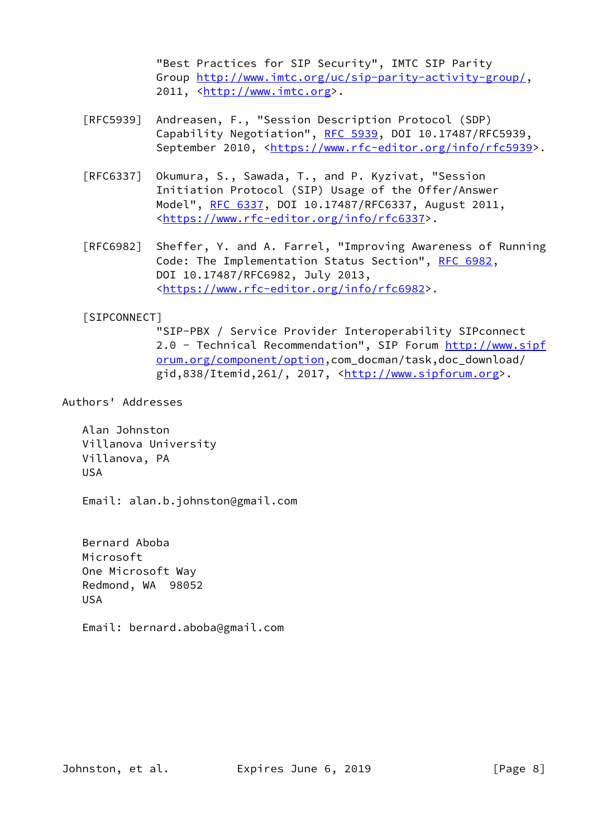"Best Practices for SIP Security", IMTC SIP Parity Group<http://www.imtc.org/uc/sip-parity-activity-group/>, 2011, [<http://www.imtc.org](http://www.imtc.org)>.

- [RFC5939] Andreasen, F., "Session Description Protocol (SDP) Capability Negotiation", [RFC 5939,](https://datatracker.ietf.org/doc/pdf/rfc5939) DOI 10.17487/RFC5939, September 2010, <[https://www.rfc-editor.org/info/rfc5939>](https://www.rfc-editor.org/info/rfc5939).
- [RFC6337] Okumura, S., Sawada, T., and P. Kyzivat, "Session Initiation Protocol (SIP) Usage of the Offer/Answer Model", [RFC 6337,](https://datatracker.ietf.org/doc/pdf/rfc6337) DOI 10.17487/RFC6337, August 2011, <[https://www.rfc-editor.org/info/rfc6337>](https://www.rfc-editor.org/info/rfc6337).
- [RFC6982] Sheffer, Y. and A. Farrel, "Improving Awareness of Running Code: The Implementation Status Section", [RFC 6982](https://datatracker.ietf.org/doc/pdf/rfc6982), DOI 10.17487/RFC6982, July 2013, <[https://www.rfc-editor.org/info/rfc6982>](https://www.rfc-editor.org/info/rfc6982).

## <span id="page-8-0"></span>[SIPCONNECT]

 "SIP-PBX / Service Provider Interoperability SIPconnect 2.0 - Technical Recommendation", SIP Forum [http://www.sipf](http://www.sipforum.org/component/option) [orum.org/component/option,](http://www.sipforum.org/component/option)com\_docman/task,doc\_download/ gid,838/Itemid,261/, 2017, <<http://www.sipforum.org>>.

### Authors' Addresses

 Alan Johnston Villanova University Villanova, PA USA

Email: alan.b.johnston@gmail.com

 Bernard Aboba Microsoft One Microsoft Way Redmond, WA 98052 USA

Email: bernard.aboba@gmail.com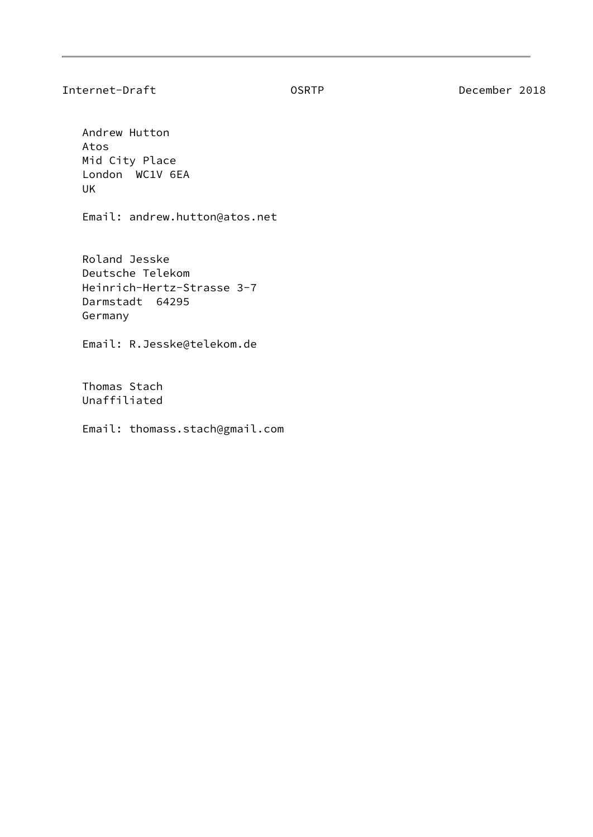Internet-Draft OSRTP December 2018

 Andrew Hutton Atos Mid City Place London WC1V 6EA UK

Email: andrew.hutton@atos.net

 Roland Jesske Deutsche Telekom Heinrich-Hertz-Strasse 3-7 Darmstadt 64295 Germany

Email: R.Jesske@telekom.de

 Thomas Stach Unaffiliated

Email: thomass.stach@gmail.com